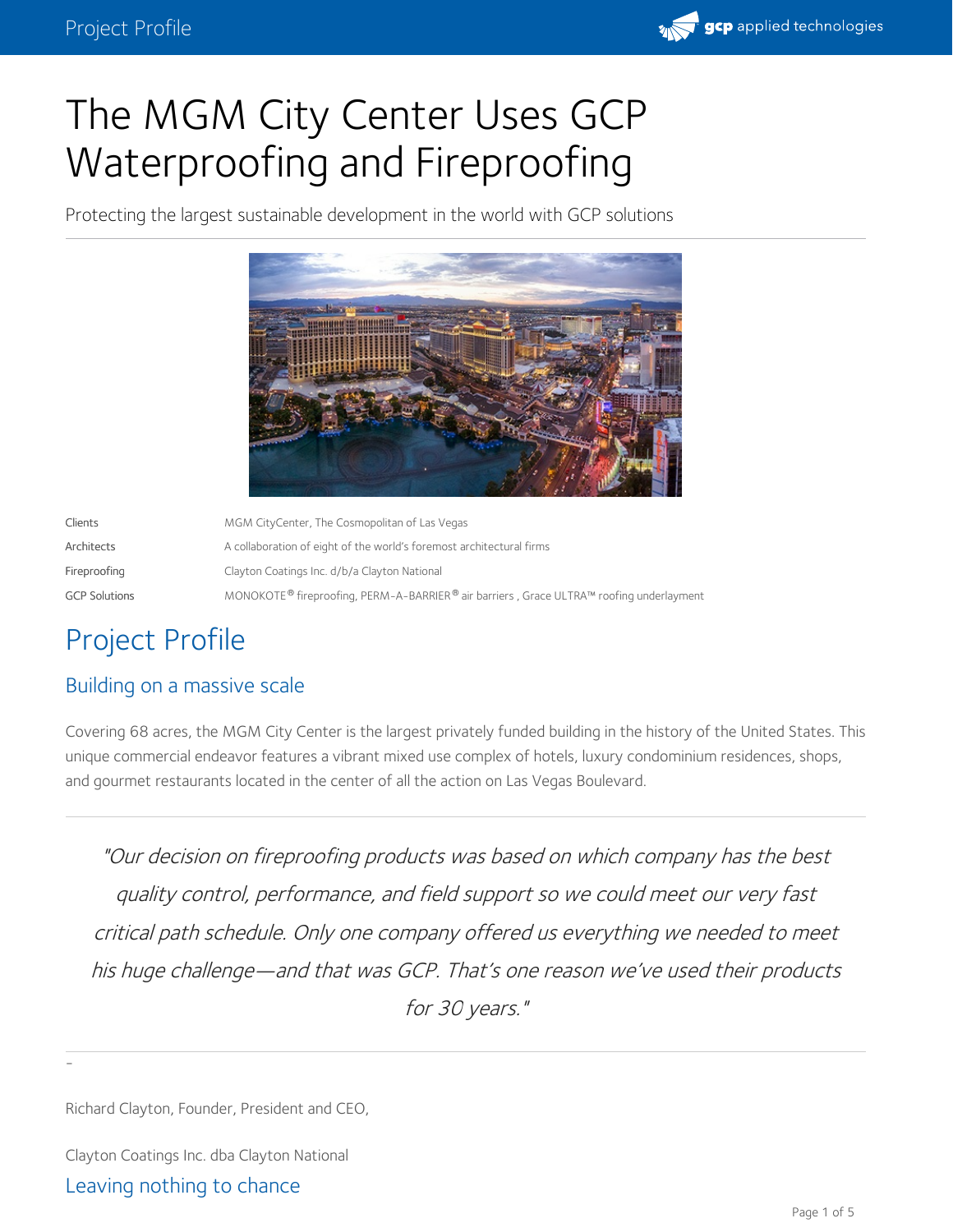

# The MGM City Center Uses GCP Waterproofing and Fireproofing

Protecting the largest sustainable development in the world with GCP solutions



| Clients              | MGM CityCenter, The Cosmopolitan of Las Vegas                                                                   |
|----------------------|-----------------------------------------------------------------------------------------------------------------|
| Architects           | A collaboration of eight of the world's foremost architectural firms                                            |
| Fireproofing         | Clayton Coatings Inc. d/b/a Clayton National                                                                    |
| <b>GCP Solutions</b> | MONOKOTE <sup>®</sup> fireproofing, PERM-A-BARRIER <sup>®</sup> air barriers, Grace ULTRA™ roofing underlayment |

## Project Profile

### Building on a massive scale

Covering 68 acres, the MGM City Center is the largest privately funded building in the history of the United States. This unique commercial endeavor features a vibrant mixed use complex of hotels, luxury condominium residences, shops, and gourmet restaurants located in the center of all the action on Las Vegas Boulevard.

"Our decision on fireproofing products was based on which company has the best quality control, performance, and field support so we could meet our very fast critical path schedule. Only one company offered us everything we needed to meet his huge challenge—and that was GCP. That's one reason we've used their products for 30 years."

Richard Clayton, Founder, President and CEO,

Clayton Coatings Inc. dba Clayton National

#### Leaving nothing to chance

-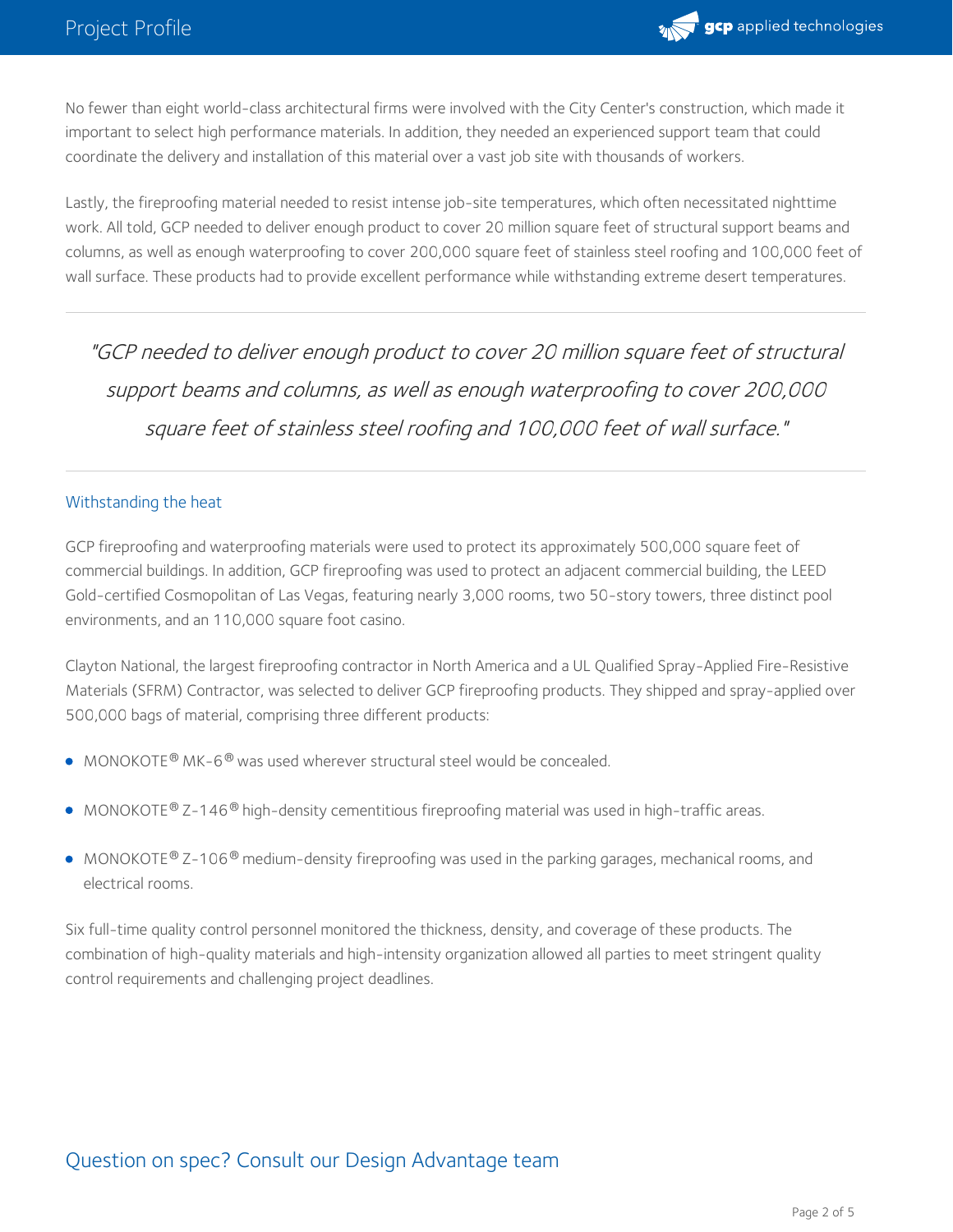

No fewer than eight world-class architectural firms were involved with the City Center's construction, which made it important to select high performance materials. In addition, they needed an experienced support team that could coordinate the delivery and installation of this material over a vast job site with thousands of workers.

Lastly, the fireproofing material needed to resist intense job-site temperatures, which often necessitated nighttime work. All told, GCP needed to deliver enough product to cover 20 million square feet of structural support beams and columns, as well as enough waterproofing to cover 200,000 square feet of stainless steel roofing and 100,000 feet of wall surface. These products had to provide excellent performance while withstanding extreme desert temperatures.

"GCP needed to deliver enough product to cover 20 million square feet of structural support beams and columns, as well as enough waterproofing to cover 200,000 square feet of stainless steel roofing and 100,000 feet of wall surface."

#### Withstanding the heat

GCP [fireproofing](https://gcpat.com/en/solutions/fireproof-your-building-industrys-leading-fire-protection-products) and [waterproofing](https://gcpat.com/en/solutions/waterproofing-solutions-construction-projects) materials were used to protect its approximately 500,000 square feet of commercial buildings. In addition, GCP [fireproofing](https://gcpat.com/en/solutions/fireproof-your-building-industrys-leading-fire-protection-products) was used to protect an adjacent commercial building, the LEED Gold-certified Cosmopolitan of Las Vegas, featuring nearly 3,000 rooms, two 50-story towers, three distinct pool environments, and an 110,000 square foot casino.

Clayton National, the largest [fireproofing](https://gcpat.com/en/solutions/fireproof-your-building-industrys-leading-fire-protection-products) contractor in North America and a UL Qualified Spray-Applied Fire-Resistive Materials (SFRM) Contractor, was selected to deliver GCP [fireproofing](https://gcpat.com/en/solutions/fireproof-your-building-industrys-leading-fire-protection-products) products. They shipped and spray-applied over 500,000 bags of material, comprising three different products:

- $\bullet$  [MONOKOTE](https://gcpat.com/en/solutions/products/monokote-fireproofing)® MK-6<sup>®</sup> was used wherever structural steel would be concealed.
- $\bullet$  [MONOKOTE](https://gcpat.com/en/solutions/products/monokote-fireproofing)  $\mathcal{O}$  Z-146 $\mathcal{O}$  high-density cementitious fireproofing material was used in high-traffic areas.
- [MONOKOTE](https://gcpat.com/en/solutions/products/monokote-fireproofing)® Z–106® medium–density fireproofing was used in the parking garages, mechanical rooms, and electrical rooms.

Six full-time quality control personnel monitored the thickness, density, and coverage of these products. The combination of high-quality materials and high-intensity organization allowed all parties to meet stringent quality control requirements and challenging project deadlines.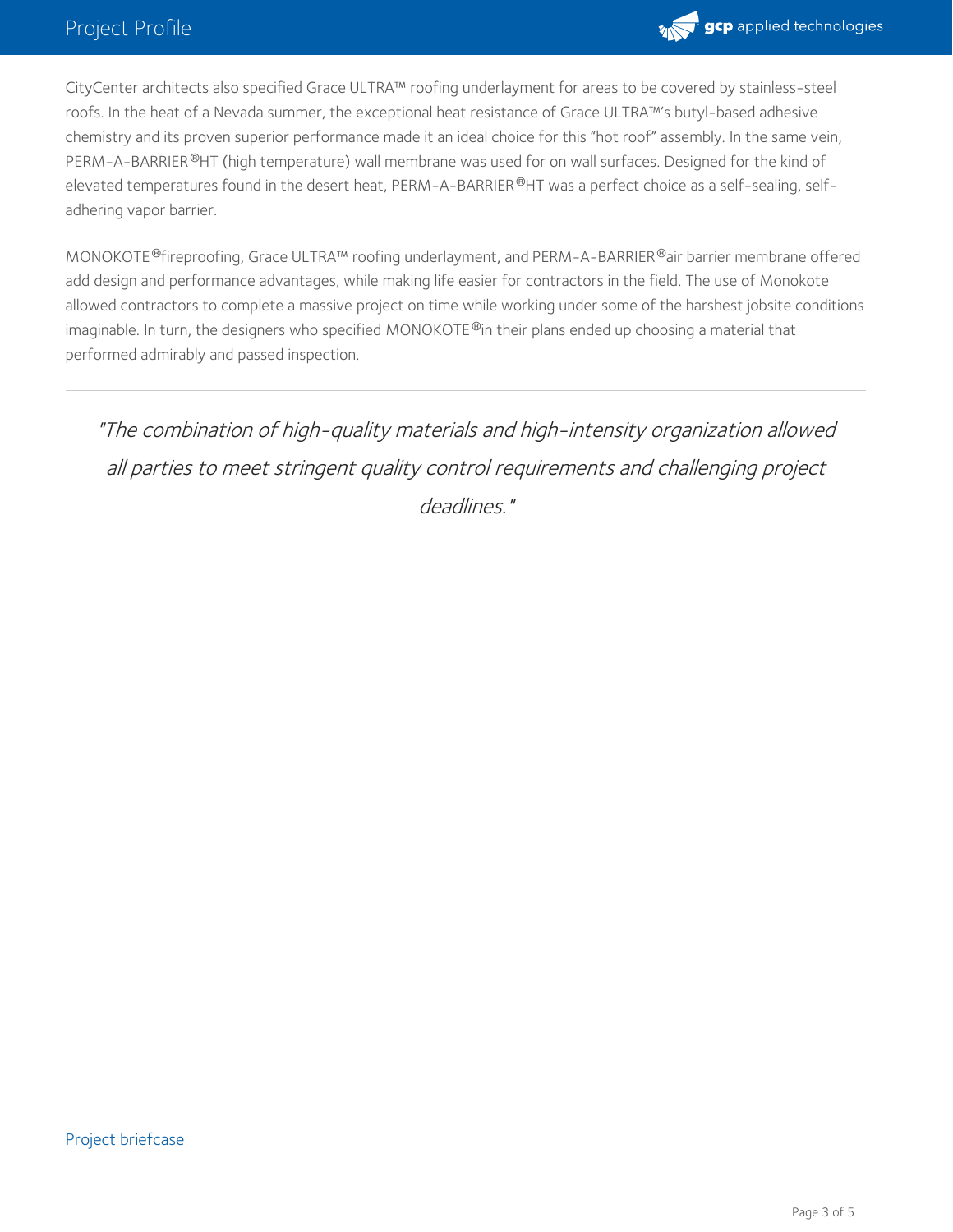

CityCenter architects also specified Grace [ULTRA™](https://gcpat.com/en/solutions/products/grace-ice-water-shield-roofing-underlayment) roofing underlayment for areas to be covered by stainless-steel roofs. In the heat of a Nevada summer, the exceptional heat resistance of Grace [ULTRA™](https://gcpat.com/en/solutions/products/grace-ice-water-shield-roofing-underlayment)'s butyl-based adhesive chemistry and its proven superior performance made it an ideal choice for this "hot roof" assembly. In the same vein, [PERM-A-BARRIER](https://gcpat.com/en/solutions/products/perm-a-barrier-air-barrier-system) ®HT (high temperature) wall membrane was used for on wall surfaces. Designed for the kind of elevated temperatures found in the desert heat, [PERM-A-BARRIER](https://gcpat.com/en/solutions/products/perm-a-barrier-air-barrier-system)®HT was a perfect choice as a self-sealing, selfadhering vapor barrier.

[MONOKOTE](https://gcpat.com/en/solutions/products/monokote-fireproofing) ®fireproofing, Grace [ULTRA™](https://gcpat.com/en/solutions/products/grace-ice-water-shield-roofing-underlayment) roofing underlayment, and [PERM-A-BARRIER](https://gcpat.com/en/solutions/products/perm-a-barrier-air-barrier-system) ®air barrier membrane offered add design and performance advantages, while making life easier for contractors in the field. The use of Monokote allowed contractors to complete a massive project on time while working under some of the harshest jobsite conditions imaginable. In turn, the designers who specified [MONOKOTE](https://gcpat.com/en/solutions/products/monokote-fireproofing)  $^\text{\textregistered}$ in their plans ended up choosing a material that performed admirably and passed inspection.

"The combination of high-quality materials and high-intensity organization allowed all parties to meet stringent quality control requirements and challenging project deadlines."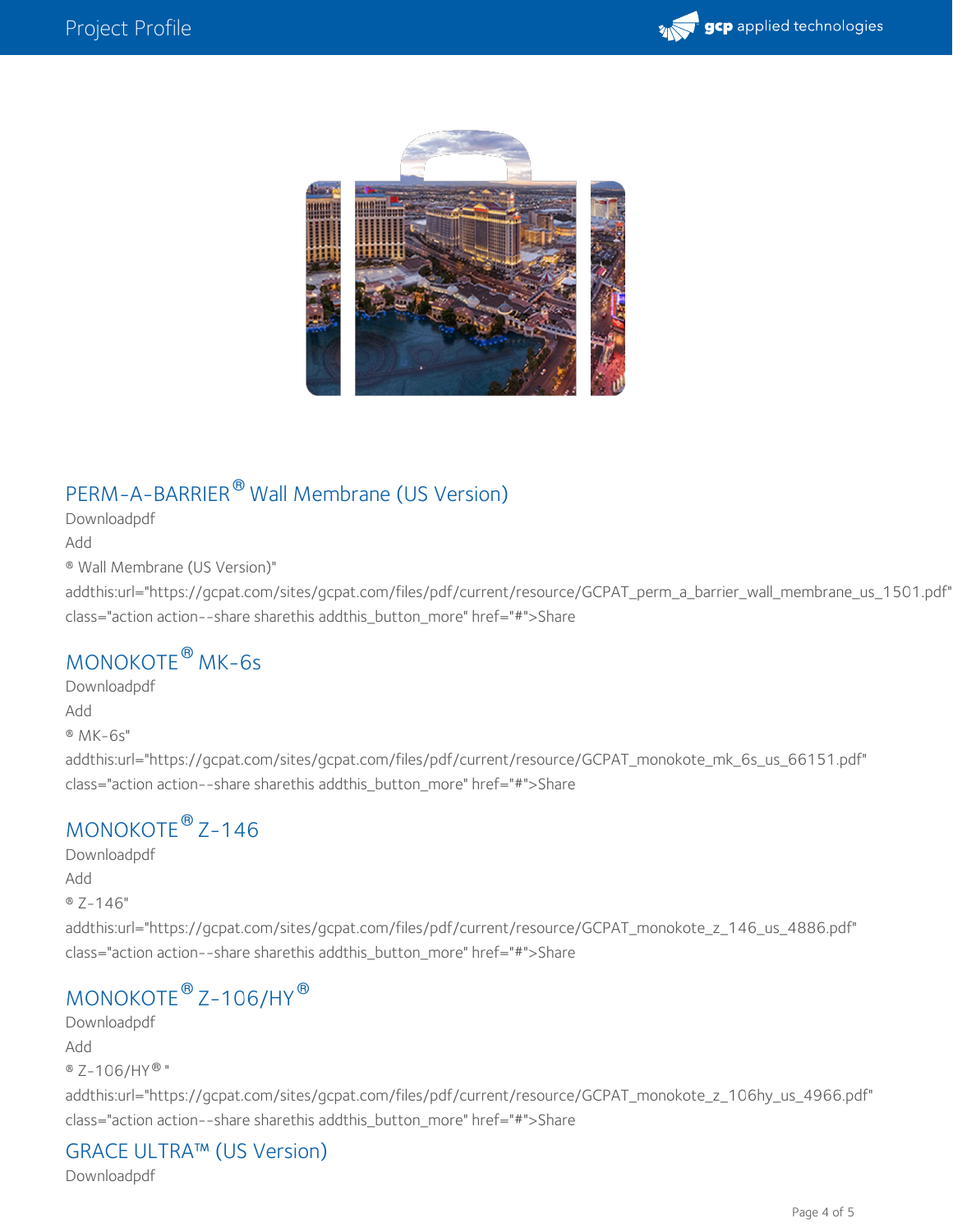



## [PERM-A-BARRIER](https://gcpat.com/node/1501)  $^\circledR$  Wall Membrane (US Version)

[Downloadpdf](https://gcpat.com/sites/gcpat.com/files/pdf/current/resource/GCPAT_perm_a_barrier_wall_membrane_us_1501.pdf) [Add](https://gcpat.com/en/ajax/briefcase/addentityfolder/1501) ® Wall Membrane (US Version)" addthis:url="https://gcpat.com/sites/gcpat.com/files/pdf/current/resource/GCPAT\_perm\_a\_barrier\_wall\_membrane\_us\_1501.pdf" class="action action--share sharethis addthis\_button\_more" href="#">Share

## [MONOKOTE](https://gcpat.com/en/solutions/products/monokote-fireproofing/monokote-mk-6s)® MK-6s

[Downloadpdf](https://gcpat.com/sites/gcpat.com/files/pdf/current/resource/GCPAT_monokote_mk_6s_us_66151.pdf) [Add](https://gcpat.com/en/ajax/briefcase/addentityfolder/66151) ® MK-6s" addthis:url="https://gcpat.com/sites/gcpat.com/files/pdf/current/resource/GCPAT\_monokote\_mk\_6s\_us\_66151.pdf" class="action action--share sharethis addthis\_button\_more" href="#">Share

## $MONOKOTE<sup>®</sup> Z-146$  $MONOKOTE<sup>®</sup> Z-146$

[Downloadpdf](hhttps://gcpat.com/sites/gcpat.com/files/pdf/current/resource/GCPAT_monokote_z_146_us_4886.pdf) [Add](https://gcpat.com/en/ajax/briefcase/addentityfolder/4886) ® Z-146" addthis:url="https://gcpat.com/sites/gcpat.com/files/pdf/current/resource/GCPAT\_monokote\_z\_146\_us\_4886.pdf" class="action action--share sharethis addthis\_button\_more" href="#">Share

## $\textsf{MONOKOTE}^{\circledast}$  $\textsf{MONOKOTE}^{\circledast}$  $\textsf{MONOKOTE}^{\circledast}$  Z–106/HY $^{\circledast}$

[Downloadpdf](https://gcpat.com/sites/gcpat.com/files/pdf/current/resource/GCPAT_monokote_z_106hy_us_4966.pdf) [Add](https://gcpat.com/en/ajax/briefcase/addentityfolder/4966) ® Z-106/HY® " addthis:url="https://gcpat.com/sites/gcpat.com/files/pdf/current/resource/GCPAT\_monokote\_z\_106hy\_us\_4966.pdf" class="action action--share sharethis addthis\_button\_more" href="#">Share

### GRACE [ULTRA™](https://gcpat.com/en/solutions/products/grace-ice-water-shield-roofing-underlayment/grace-ultra) (US Version)

[Downloadpdf](https://gcpat.com/sites/gcpat.com/files/pdf/current/resource/GCPAT_grace_ultra_us_10726.pdf)